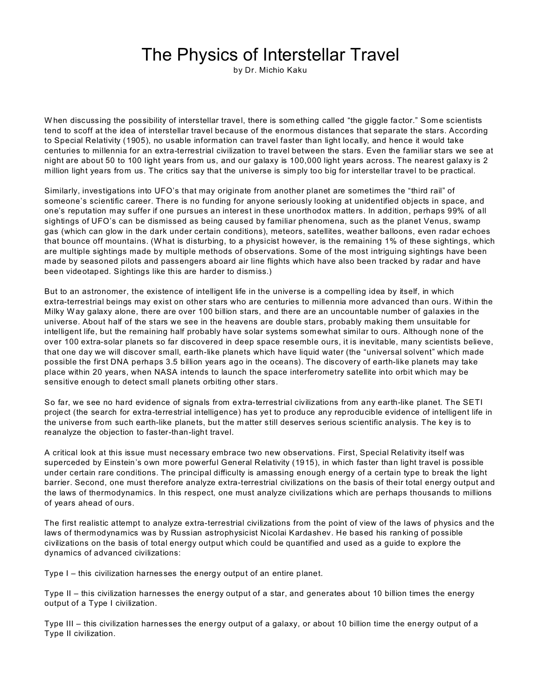## The Physics of Interstellar Travel

by Dr. Michio Kaku

W hen discussing the possibility of interstellar travel, there is som ething called "the giggle factor." Some scientists tend to scoff at the idea of interstellar travel because of the enormous distances that separate the stars. According to Special Relativity (1905), no usable information can travel faster than light locally, and hence it would take centuries to millennia for an extra-terrestrial civilization to travel between the stars. Even the familiar stars we see at night are about 50 to 100 light years from us, and our galaxy is 100,000 light years across. The nearest galaxy is 2 million light years from us. The critics say that the universe is sim ply too big for interstellar travel to be practical.

Similarly, investigations into UFO's that may originate from another planet are sometimes the "third rail" of someone's scientific career. There is no funding for anyone seriously looking at unidentified objects in space, and one's reputation may suffer if one pursues an interest in these unorthodox matters. In addition, perhaps 99% of all sightings of UFO's can be dismissed as being caused by familiar phenomena, such as the planet Venus, swamp gas (which can glow in the dark under certain conditions), meteors, satellites, weather balloons, even radar echoes that bounce off mountains. (What is disturbing, to a physicist however, is the remaining 1% of these sightings, which are multiple sightings made by multiple methods of observations. Some of the most intriguing sightings have been made by seasoned pilots and passengers aboard air line flights which have also been tracked by radar and have been videotaped. Sightings like this are harder to dismiss.)

But to an astronomer, the existence of intelligent life in the universe is a compelling idea by itself, in which extra-terrestrial beings may exist on other stars who are centuries to millennia more advanced than ours. W ithin the Milky Way galaxy alone, there are over 100 billion stars, and there are an uncountable number of galaxies in the universe. About half of the stars we see in the heavens are double stars, probably making them unsuitable for intelligent life, but the remaining half probably have solar systems somewhat similar to ours. Although none of the over 100 extra-solar planets so far discovered in deep space resemble ours, it is inevitable, many scientists believe, that one day we will discover small, earth-like planets which have liquid water (the "universal solvent" which made possible the first DNA perhaps 3.5 billion years ago in the oceans). The discovery of earth-like planets may take place within 20 years, when NASA intends to launch the space interferometry satellite into orbit which may be sensitive enough to detect small planets orbiting other stars.

So far, we see no hard evidence of signals from extra-terrestrial civilizations from any earth-like planet. The SETI project (the search for extra-terrestrial intelligence) has yet to produce any reproducible evidence of intelligent life in the universe from such earth-like planets, but the m atter still deserves serious scientific analysis. The key is to reanalyze the objection to faster-than-light travel.

A critical look at this issue must necessary embrace two new observations. First, Special Relativity itself was superceded by Einstein's own more powerful General Relativity (1915), in which faster than light travel is possible under certain rare conditions. The principal difficulty is amassing enough energy of a certain type to break the light barrier. Second, one must therefore analyze extra-terrestrial civilizations on the basis of their total energy output and the laws of thermodynamics. In this respect, one must analyze civilizations which are perhaps thousands to millions of years ahead of ours.

The first realistic attempt to analyze extra-terrestrial civilizations from the point of view of the laws of physics and the laws of thermodynamics was by Russian astrophysicist Nicolai Kardashev. He based his ranking of possible civilizations on the basis of total energy output which could be quantified and used as a guide to explore the dynamics of advanced civilizations:

Type I – this civilization harnesses the energy output of an entire planet.

Type II – this civilization harnesses the energy output of a star, and generates about 10 billion times the energy output of a Type I civilization.

Type III – this civilization harnesses the energy output of a galaxy, or about 10 billion time the energy output of a Type II civilization.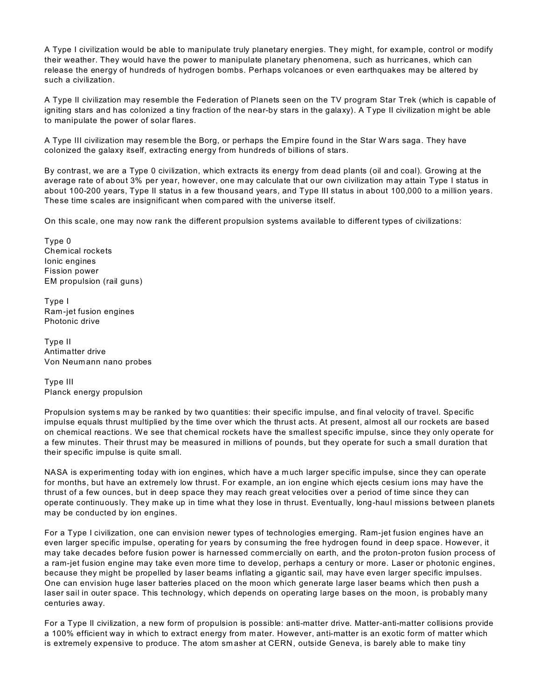A Type I civilization would be able to manipulate truly planetary energies. They might, for example, control or modify their weather. They would have the power to manipulate planetary phenomena, such as hurricanes, which can release the energy of hundreds of hydrogen bombs. Perhaps volcanoes or even earthquakes may be altered by such a civilization.

A Type II civilization may resemble the Federation of Planets seen on the TV program Star Trek (which is capable of igniting stars and has colonized a tiny fraction of the near-by stars in the galaxy). A Type II civilization m ight be able to manipulate the power of solar flares.

A Type III civilization may resem ble the Borg, or perhaps the Empire found in the Star Wars saga. They have colonized the galaxy itself, extracting energy from hundreds of billions of stars.

By contrast, we are a Type 0 civilization, which extracts its energy from dead plants (oil and coal). Growing at the average rate of about 3% per year, however, one may calculate that our own civilization may attain Type I status in about 100-200 years, Type II status in a few thousand years, and Type III status in about 100,000 to a million years. These time scales are insignificant when com pared with the universe itself.

On this scale, one may now rank the different propulsion systems available to different types of civilizations:

Type 0 Chemical rockets Ionic engines Fission power EM propulsion (rail guns)

Type I Ram-jet fusion engines Photonic drive

Type II Antimatter drive Von Neumann nano probes

Type III Planck energy propulsion

Propulsion system s m ay be ranked by two quantities: their specific impulse, and final velocity of travel. Specific impulse equals thrust multiplied by the time over which the thrust acts. At present, almost all our rockets are based on chemical reactions. We see that chemical rockets have the smallest specific impulse, since they only operate for a few minutes. Their thrust may be measured in millions of pounds, but they operate for such a small duration that their specific impulse is quite sm all.

NASA is experimenting today with ion engines, which have a much larger specific impulse, since they can operate for months, but have an extremely low thrust. For example, an ion engine which ejects cesium ions may have the thrust of a few ounces, but in deep space they may reach great velocities over a period of time since they can operate continuously. They make up in time what they lose in thrust. Eventually, long-haul missions between planets may be conducted by ion engines.

For a Type I civilization, one can envision newer types of technologies emerging. Ram-jet fusion engines have an even larger specific impulse, operating for years by consuming the free hydrogen found in deep space. However, it may take decades before fusion power is harnessed commercially on earth, and the proton-proton fusion process of a ram-jet fusion engine may take even more time to develop, perhaps a century or more. Laser or photonic engines, because they might be propelled by laser beams inflating a gigantic sail, may have even larger specific impulses. One can envision huge laser batteries placed on the moon which generate large laser beams which then push a laser sail in outer space. This technology, which depends on operating large bases on the moon, is probably many centuries away.

For a Type II civilization, a new form of propulsion is possible: anti-matter drive. Matter-anti-matter collisions provide a 100% efficient way in which to extract energy from m ater. However, anti-matter is an exotic form of matter which is extremely expensive to produce. The atom sm asher at CERN, outside Geneva, is barely able to make tiny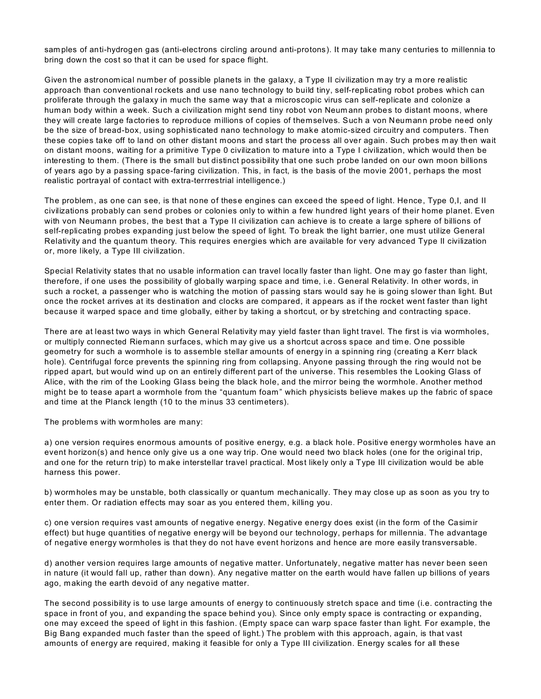sam ples of anti-hydrogen gas (anti-electrons circling around anti-protons). It may take many centuries to millennia to bring down the cost so that it can be used for space flight.

Given the astronomical number of possible planets in the galaxy, a Type II civilization may try a more realistic approach than conventional rockets and use nano technology to build tiny, self-replicating robot probes which can proliferate through the galaxy in much the same way that a microscopic virus can self-replicate and colonize a human body within a week. Such a civilization might send tiny robot von Neum ann probes to distant moons, where they will create large factories to reproduce millions of copies of themselves. Such a von Neumann probe need only be the size of bread-box, using sophisticated nano technology to make atomic-sized circuitry and computers. Then these copies take off to land on other distant moons and start the process all over again. Such probes may then wait on distant moons, waiting for a primitive Type 0 civilization to mature into a Type I civilization, which would then be interesting to them. (There is the small but distinct possibility that one such probe landed on our own moon billions of years ago by a passing space-faring civilization. This, in fact, is the basis of the movie 2001, perhaps the most realistic portrayal of contact with extra-terrrestrial intelligence.)

The problem, as one can see, is that none of these engines can exceed the speed of light. Hence, Type 0, l, and II civilizations probably can send probes or colonies only to within a few hundred light years of their home planet. Even with von Neumann probes, the best that a Type II civilization can achieve is to create a large sphere of billions of self-replicating probes expanding just below the speed of light. To break the light barrier, one must utilize General Relativity and the quantum theory. This requires energies which are available for very advanced Type II civilization or, more likely, a Type III civilization.

Special Relativity states that no usable information can travel locally faster than light. One may go faster than light, therefore, if one uses the possibility of globally warping space and time, i.e. General Relativity. In other words, in such a rocket, a passenger who is watching the motion of passing stars would say he is going slower than light. But once the rocket arrives at its destination and clocks are compared, it appears as if the rocket went faster than light because it warped space and time globally, either by taking a shortcut, or by stretching and contracting space.

There are at least two ways in which General Relativity may yield faster than light travel. The first is via wormholes, or multiply connected Riemann surfaces, which m ay give us a shortcut across space and tim e. One possible geometry for such a wormhole is to assemble stellar amounts of energy in a spinning ring (creating a Kerr black hole). Centrifugal force prevents the spinning ring from collapsing. Anyone passing through the ring would not be ripped apart, but would wind up on an entirely different part of the universe. This resembles the Looking Glass of Alice, with the rim of the Looking Glass being the black hole, and the mirror being the wormhole. Another method might be to tease apart a wormhole from the "quantum foam" which physicists believe makes up the fabric of space and time at the Planck length (10 to the minus 33 centimeters).

The problems with wormholes are many:

a) one version requires enormous amounts of positive energy, e.g. a black hole. Positive energy wormholes have an event horizon(s) and hence only give us a one way trip. One would need two black holes (one for the original trip, and one for the return trip) to m ake interstellar travel practical. Most likely only a Type III civilization would be able harness this power.

b) worm holes may be unstable, both classically or quantum mechanically. They may close up as soon as you try to enter them. Or radiation effects may soar as you entered them, killing you.

c) one version requires vast am ounts of negative energy. Negative energy does exist (in the form of the Casim ir effect) but huge quantities of negative energy will be beyond our technology, perhaps for millennia. The advantage of negative energy wormholes is that they do not have event horizons and hence are more easily transversable.

d) another version requires large amounts of negative matter. Unfortunately, negative matter has never been seen in nature (it would fall up, rather than down). Any negative matter on the earth would have fallen up billions of years ago, making the earth devoid of any negative matter.

The second possibility is to use large amounts of energy to continuously stretch space and time (i.e. contracting the space in front of you, and expanding the space behind you). Since only empty space is contracting or expanding, one may exceed the speed of light in this fashion. (Empty space can warp space faster than light. For example, the Big Bang expanded much faster than the speed of light.) The problem with this approach, again, is that vast amounts of energy are required, making it feasible for only a Type III civilization. Energy scales for all these